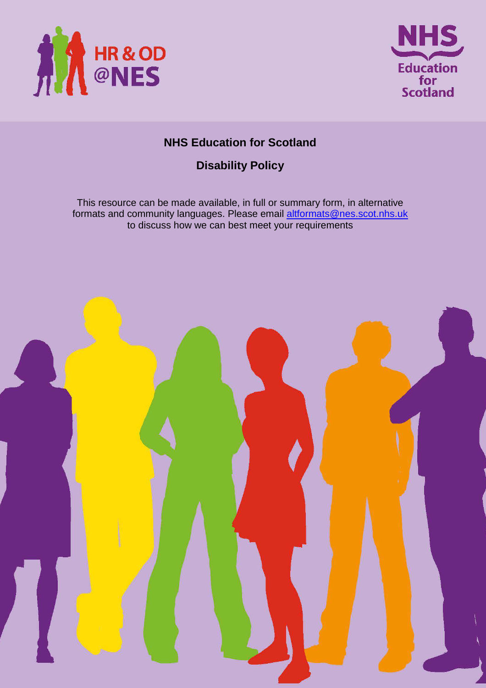



# **NHS Education for Scotland**

# **Disability Policy**

This resource can be made available, in full or summary form, in alternative formats and community languages. Please email altformats@nes.scot.nhs.uk to discuss how we can best meet your requirements

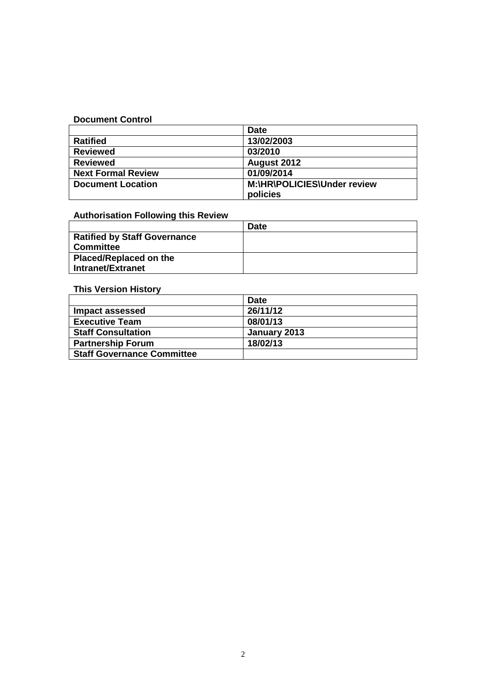#### **Document Control**

|                           | <b>Date</b>                 |
|---------------------------|-----------------------------|
| <b>Ratified</b>           | 13/02/2003                  |
| <b>Reviewed</b>           | 03/2010                     |
| <b>Reviewed</b>           | August 2012                 |
| <b>Next Formal Review</b> | 01/09/2014                  |
| <b>Document Location</b>  | M:\HR\POLICIES\Under review |
|                           | policies                    |

# **Authorisation Following this Review**

|                                     | Date |
|-------------------------------------|------|
| <b>Ratified by Staff Governance</b> |      |
| <b>Committee</b>                    |      |
| <b>Placed/Replaced on the</b>       |      |
| <b>Intranet/Extranet</b>            |      |

# **This Version History**

|                                   | <b>Date</b>  |
|-----------------------------------|--------------|
| Impact assessed                   | 26/11/12     |
| <b>Executive Team</b>             | 08/01/13     |
| <b>Staff Consultation</b>         | January 2013 |
| <b>Partnership Forum</b>          | 18/02/13     |
| <b>Staff Governance Committee</b> |              |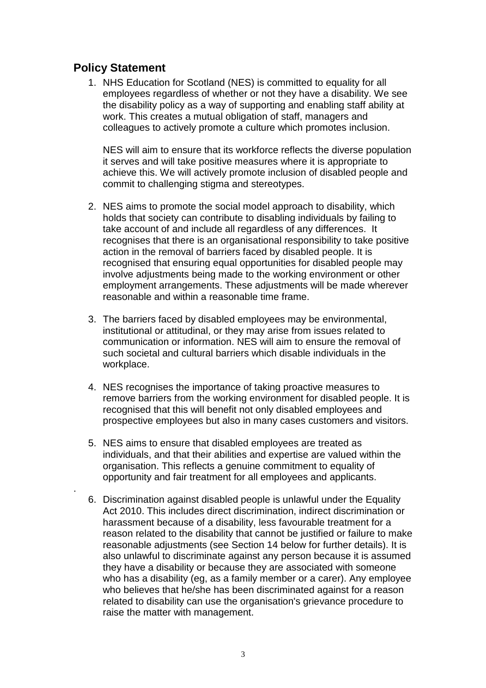# **Policy Statement**

.

1. NHS Education for Scotland (NES) is committed to equality for all employees regardless of whether or not they have a disability. We see the disability policy as a way of supporting and enabling staff ability at work. This creates a mutual obligation of staff, managers and colleagues to actively promote a culture which promotes inclusion.

NES will aim to ensure that its workforce reflects the diverse population it serves and will take positive measures where it is appropriate to achieve this. We will actively promote inclusion of disabled people and commit to challenging stigma and stereotypes.

- 2. NES aims to promote the social model approach to disability, which holds that society can contribute to disabling individuals by failing to take account of and include all regardless of any differences. It recognises that there is an organisational responsibility to take positive action in the removal of barriers faced by disabled people. It is recognised that ensuring equal opportunities for disabled people may involve adjustments being made to the working environment or other employment arrangements. These adjustments will be made wherever reasonable and within a reasonable time frame.
- 3. The barriers faced by disabled employees may be environmental, institutional or attitudinal, or they may arise from issues related to communication or information. NES will aim to ensure the removal of such societal and cultural barriers which disable individuals in the workplace.
- 4. NES recognises the importance of taking proactive measures to remove barriers from the working environment for disabled people. It is recognised that this will benefit not only disabled employees and prospective employees but also in many cases customers and visitors.
- 5. NES aims to ensure that disabled employees are treated as individuals, and that their abilities and expertise are valued within the organisation. This reflects a genuine commitment to equality of opportunity and fair treatment for all employees and applicants.
- 6. Discrimination against disabled people is unlawful under the Equality Act 2010. This includes direct discrimination, indirect discrimination or harassment because of a disability, less favourable treatment for a reason related to the disability that cannot be justified or failure to make reasonable adjustments (see Section 14 below for further details). It is also unlawful to discriminate against any person because it is assumed they have a disability or because they are associated with someone who has a disability (eg, as a family member or a carer). Any employee who believes that he/she has been discriminated against for a reason related to disability can use the organisation's grievance procedure to raise the matter with management.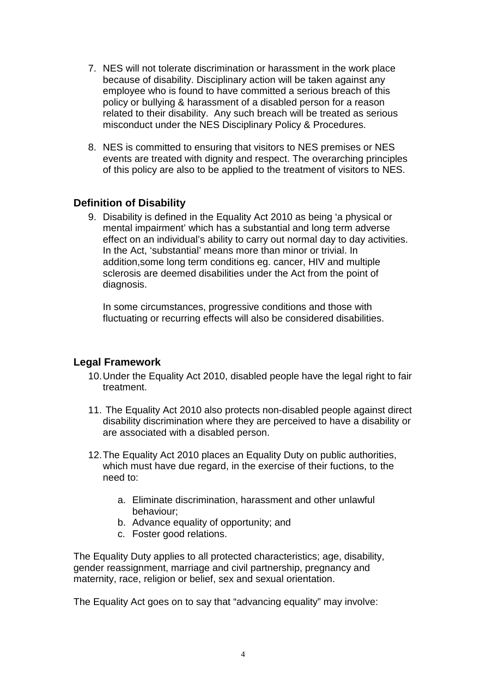- 7. NES will not tolerate discrimination or harassment in the work place because of disability. Disciplinary action will be taken against any employee who is found to have committed a serious breach of this policy or bullying & harassment of a disabled person for a reason related to their disability. Any such breach will be treated as serious misconduct under the NES Disciplinary Policy & Procedures.
- 8. NES is committed to ensuring that visitors to NES premises or NES events are treated with dignity and respect. The overarching principles of this policy are also to be applied to the treatment of visitors to NES.

# **Definition of Disability**

9. Disability is defined in the Equality Act 2010 as being 'a physical or mental impairment' which has a substantial and long term adverse effect on an individual's ability to carry out normal day to day activities. In the Act, 'substantial' means more than minor or trivial. In addition,some long term conditions eg. cancer, HIV and multiple sclerosis are deemed disabilities under the Act from the point of diagnosis.

In some circumstances, progressive conditions and those with fluctuating or recurring effects will also be considered disabilities.

# **Legal Framework**

- 10. Under the Equality Act 2010, disabled people have the legal right to fair treatment.
- 11. The Equality Act 2010 also protects non-disabled people against direct disability discrimination where they are perceived to have a disability or are associated with a disabled person.
- 12. The Equality Act 2010 places an Equality Duty on public authorities, which must have due regard, in the exercise of their fuctions, to the need to:
	- a. Eliminate discrimination, harassment and other unlawful behaviour;
	- b. Advance equality of opportunity; and
	- c. Foster good relations.

The Equality Duty applies to all protected characteristics; age, disability, gender reassignment, marriage and civil partnership, pregnancy and maternity, race, religion or belief, sex and sexual orientation.

The Equality Act goes on to say that "advancing equality" may involve: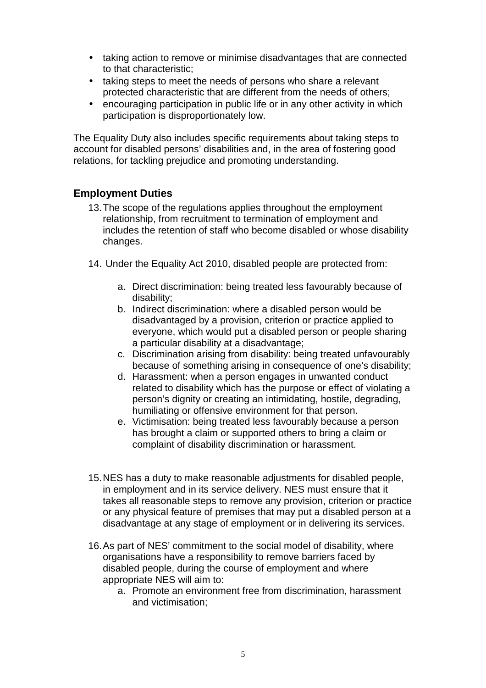- taking action to remove or minimise disadvantages that are connected to that characteristic;
- taking steps to meet the needs of persons who share a relevant protected characteristic that are different from the needs of others;
- encouraging participation in public life or in any other activity in which participation is disproportionately low.

The Equality Duty also includes specific requirements about taking steps to account for disabled persons' disabilities and, in the area of fostering good relations, for tackling prejudice and promoting understanding.

# **Employment Duties**

- 13. The scope of the regulations applies throughout the employment relationship, from recruitment to termination of employment and includes the retention of staff who become disabled or whose disability changes.
- 14. Under the Equality Act 2010, disabled people are protected from:
	- a. Direct discrimination: being treated less favourably because of disability;
	- b. Indirect discrimination: where a disabled person would be disadvantaged by a provision, criterion or practice applied to everyone, which would put a disabled person or people sharing a particular disability at a disadvantage;
	- c. Discrimination arising from disability: being treated unfavourably because of something arising in consequence of one's disability;
	- d. Harassment: when a person engages in unwanted conduct related to disability which has the purpose or effect of violating a person's dignity or creating an intimidating, hostile, degrading, humiliating or offensive environment for that person.
	- e. Victimisation: being treated less favourably because a person has brought a claim or supported others to bring a claim or complaint of disability discrimination or harassment.
- 15. NES has a duty to make reasonable adjustments for disabled people, in employment and in its service delivery. NES must ensure that it takes all reasonable steps to remove any provision, criterion or practice or any physical feature of premises that may put a disabled person at a disadvantage at any stage of employment or in delivering its services.
- 16. As part of NES' commitment to the social model of disability, where organisations have a responsibility to remove barriers faced by disabled people, during the course of employment and where appropriate NES will aim to:
	- a. Promote an environment free from discrimination, harassment and victimisation;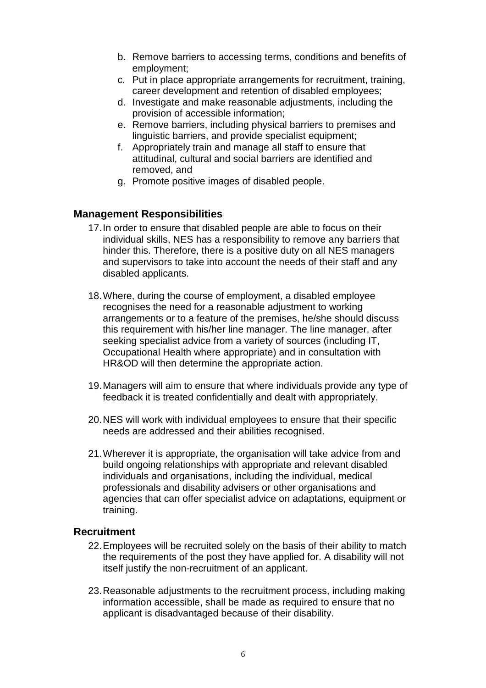- b. Remove barriers to accessing terms, conditions and benefits of employment;
- c. Put in place appropriate arrangements for recruitment, training, career development and retention of disabled employees;
- d. Investigate and make reasonable adjustments, including the provision of accessible information;
- e. Remove barriers, including physical barriers to premises and linguistic barriers, and provide specialist equipment;
- f. Appropriately train and manage all staff to ensure that attitudinal, cultural and social barriers are identified and removed, and
- g. Promote positive images of disabled people.

#### **Management Responsibilities**

- 17. In order to ensure that disabled people are able to focus on their individual skills, NES has a responsibility to remove any barriers that hinder this. Therefore, there is a positive duty on all NES managers and supervisors to take into account the needs of their staff and any disabled applicants.
- 18. Where, during the course of employment, a disabled employee recognises the need for a reasonable adjustment to working arrangements or to a feature of the premises, he/she should discuss this requirement with his/her line manager. The line manager, after seeking specialist advice from a variety of sources (including IT, Occupational Health where appropriate) and in consultation with HR&OD will then determine the appropriate action.
- 19. Managers will aim to ensure that where individuals provide any type of feedback it is treated confidentially and dealt with appropriately.
- 20. NES will work with individual employees to ensure that their specific needs are addressed and their abilities recognised.
- 21. Wherever it is appropriate, the organisation will take advice from and build ongoing relationships with appropriate and relevant disabled individuals and organisations, including the individual, medical professionals and disability advisers or other organisations and agencies that can offer specialist advice on adaptations, equipment or training.

### **Recruitment**

- 22. Employees will be recruited solely on the basis of their ability to match the requirements of the post they have applied for. A disability will not itself justify the non-recruitment of an applicant.
- 23. Reasonable adjustments to the recruitment process, including making information accessible, shall be made as required to ensure that no applicant is disadvantaged because of their disability.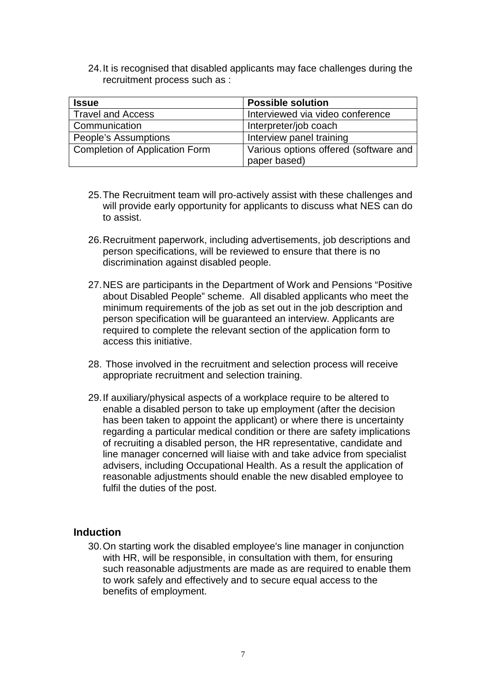24. It is recognised that disabled applicants may face challenges during the recruitment process such as :

| <b>Issue</b>                          | <b>Possible solution</b>              |
|---------------------------------------|---------------------------------------|
| <b>Travel and Access</b>              | Interviewed via video conference      |
| Communication                         | Interpreter/job coach                 |
| People's Assumptions                  | Interview panel training              |
| <b>Completion of Application Form</b> | Various options offered (software and |
|                                       | paper based)                          |

- 25. The Recruitment team will pro-actively assist with these challenges and will provide early opportunity for applicants to discuss what NES can do to assist.
- 26. Recruitment paperwork, including advertisements, job descriptions and person specifications, will be reviewed to ensure that there is no discrimination against disabled people.
- 27. NES are participants in the Department of Work and Pensions "Positive about Disabled People" scheme. All disabled applicants who meet the minimum requirements of the job as set out in the job description and person specification will be guaranteed an interview. Applicants are required to complete the relevant section of the application form to access this initiative.
- 28. Those involved in the recruitment and selection process will receive appropriate recruitment and selection training.
- 29. If auxiliary/physical aspects of a workplace require to be altered to enable a disabled person to take up employment (after the decision has been taken to appoint the applicant) or where there is uncertainty regarding a particular medical condition or there are safety implications of recruiting a disabled person, the HR representative, candidate and line manager concerned will liaise with and take advice from specialist advisers, including Occupational Health. As a result the application of reasonable adjustments should enable the new disabled employee to fulfil the duties of the post.

#### **Induction**

30. On starting work the disabled employee's line manager in conjunction with HR, will be responsible, in consultation with them, for ensuring such reasonable adjustments are made as are required to enable them to work safely and effectively and to secure equal access to the benefits of employment.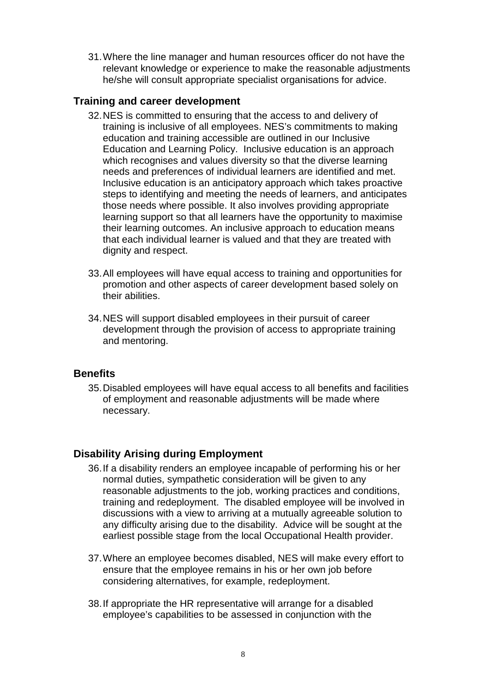31. Where the line manager and human resources officer do not have the relevant knowledge or experience to make the reasonable adjustments he/she will consult appropriate specialist organisations for advice.

### **Training and career development**

- 32. NES is committed to ensuring that the access to and delivery of training is inclusive of all employees. NES's commitments to making education and training accessible are outlined in our Inclusive Education and Learning Policy. Inclusive education is an approach which recognises and values diversity so that the diverse learning needs and preferences of individual learners are identified and met. Inclusive education is an anticipatory approach which takes proactive steps to identifying and meeting the needs of learners, and anticipates those needs where possible. It also involves providing appropriate learning support so that all learners have the opportunity to maximise their learning outcomes. An inclusive approach to education means that each individual learner is valued and that they are treated with dignity and respect.
- 33. All employees will have equal access to training and opportunities for promotion and other aspects of career development based solely on their abilities.
- 34. NES will support disabled employees in their pursuit of career development through the provision of access to appropriate training and mentoring.

#### **Benefits**

35. Disabled employees will have equal access to all benefits and facilities of employment and reasonable adjustments will be made where necessary.

# **Disability Arising during Employment**

- 36. If a disability renders an employee incapable of performing his or her normal duties, sympathetic consideration will be given to any reasonable adjustments to the job, working practices and conditions, training and redeployment. The disabled employee will be involved in discussions with a view to arriving at a mutually agreeable solution to any difficulty arising due to the disability. Advice will be sought at the earliest possible stage from the local Occupational Health provider.
- 37. Where an employee becomes disabled, NES will make every effort to ensure that the employee remains in his or her own job before considering alternatives, for example, redeployment.
- 38. If appropriate the HR representative will arrange for a disabled employee's capabilities to be assessed in conjunction with the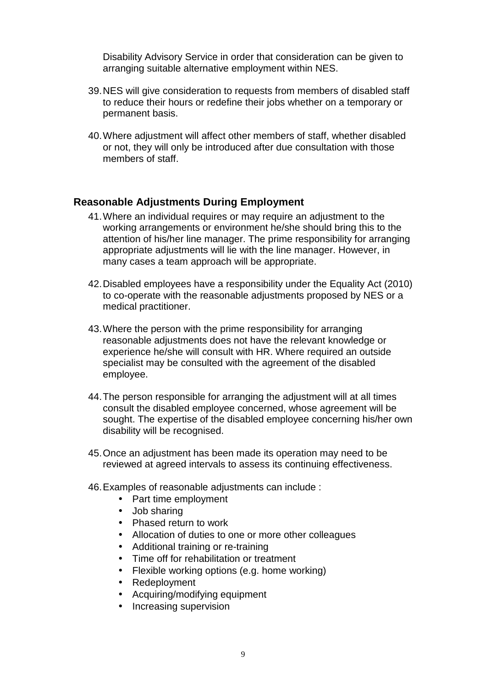Disability Advisory Service in order that consideration can be given to arranging suitable alternative employment within NES.

- 39. NES will give consideration to requests from members of disabled staff to reduce their hours or redefine their jobs whether on a temporary or permanent basis.
- 40. Where adjustment will affect other members of staff, whether disabled or not, they will only be introduced after due consultation with those members of staff.

#### **Reasonable Adjustments During Employment**

- 41. Where an individual requires or may require an adjustment to the working arrangements or environment he/she should bring this to the attention of his/her line manager. The prime responsibility for arranging appropriate adjustments will lie with the line manager. However, in many cases a team approach will be appropriate.
- 42. Disabled employees have a responsibility under the Equality Act (2010) to co-operate with the reasonable adjustments proposed by NES or a medical practitioner.
- 43. Where the person with the prime responsibility for arranging reasonable adjustments does not have the relevant knowledge or experience he/she will consult with HR. Where required an outside specialist may be consulted with the agreement of the disabled employee.
- 44. The person responsible for arranging the adjustment will at all times consult the disabled employee concerned, whose agreement will be sought. The expertise of the disabled employee concerning his/her own disability will be recognised.
- 45. Once an adjustment has been made its operation may need to be reviewed at agreed intervals to assess its continuing effectiveness.
- 46. Examples of reasonable adjustments can include :
	- Part time employment
	- Job sharing
	- Phased return to work
	- Allocation of duties to one or more other colleagues
	- Additional training or re-training
	- Time off for rehabilitation or treatment
	- Flexible working options (e.g. home working)
	- Redeployment
	- Acquiring/modifying equipment
	- Increasing supervision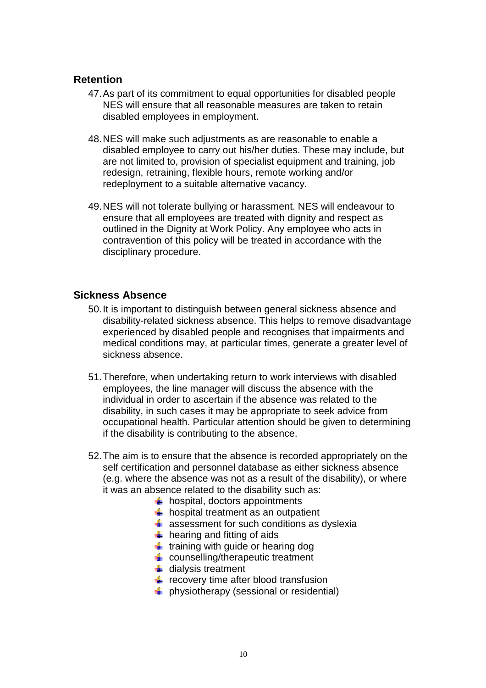#### **Retention**

- 47. As part of its commitment to equal opportunities for disabled people NES will ensure that all reasonable measures are taken to retain disabled employees in employment.
- 48. NES will make such adjustments as are reasonable to enable a disabled employee to carry out his/her duties. These may include, but are not limited to, provision of specialist equipment and training, job redesign, retraining, flexible hours, remote working and/or redeployment to a suitable alternative vacancy.
- 49. NES will not tolerate bullying or harassment. NES will endeavour to ensure that all employees are treated with dignity and respect as outlined in the Dignity at Work Policy. Any employee who acts in contravention of this policy will be treated in accordance with the disciplinary procedure.

# **Sickness Absence**

- 50. It is important to distinguish between general sickness absence and disability-related sickness absence. This helps to remove disadvantage experienced by disabled people and recognises that impairments and medical conditions may, at particular times, generate a greater level of sickness absence.
- 51. Therefore, when undertaking return to work interviews with disabled employees, the line manager will discuss the absence with the individual in order to ascertain if the absence was related to the disability, in such cases it may be appropriate to seek advice from occupational health. Particular attention should be given to determining if the disability is contributing to the absence.
- 52. The aim is to ensure that the absence is recorded appropriately on the self certification and personnel database as either sickness absence (e.g. where the absence was not as a result of the disability), or where it was an absence related to the disability such as:
	- $\bigstar$  hospital, doctors appointments
	- $\bigstar$  hospital treatment as an outpatient
	- $\frac{1}{2}$  assessment for such conditions as dyslexia
	- $\bigstar$  hearing and fitting of aids
	- $\ddot{\bullet}$  training with guide or hearing dog
	- $\triangleq$  counselling/therapeutic treatment
	- $\frac{1}{2}$  dialysis treatment
	- $\frac{1}{2}$  recovery time after blood transfusion
	- $\downarrow$  physiotherapy (sessional or residential)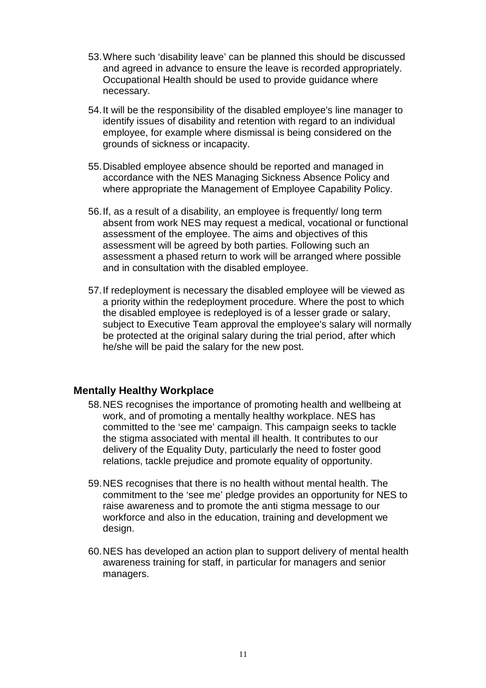- 53. Where such 'disability leave' can be planned this should be discussed and agreed in advance to ensure the leave is recorded appropriately. Occupational Health should be used to provide guidance where necessary.
- 54. It will be the responsibility of the disabled employee's line manager to identify issues of disability and retention with regard to an individual employee, for example where dismissal is being considered on the grounds of sickness or incapacity.
- 55. Disabled employee absence should be reported and managed in accordance with the NES Managing Sickness Absence Policy and where appropriate the Management of Employee Capability Policy.
- 56. If, as a result of a disability, an employee is frequently/ long term absent from work NES may request a medical, vocational or functional assessment of the employee. The aims and objectives of this assessment will be agreed by both parties. Following such an assessment a phased return to work will be arranged where possible and in consultation with the disabled employee.
- 57. If redeployment is necessary the disabled employee will be viewed as a priority within the redeployment procedure. Where the post to which the disabled employee is redeployed is of a lesser grade or salary, subject to Executive Team approval the employee's salary will normally be protected at the original salary during the trial period, after which he/she will be paid the salary for the new post.

# **Mentally Healthy Workplace**

- 58. NES recognises the importance of promoting health and wellbeing at work, and of promoting a mentally healthy workplace. NES has committed to the 'see me' campaign. This campaign seeks to tackle the stigma associated with mental ill health. It contributes to our delivery of the Equality Duty, particularly the need to foster good relations, tackle prejudice and promote equality of opportunity.
- 59. NES recognises that there is no health without mental health. The commitment to the 'see me' pledge provides an opportunity for NES to raise awareness and to promote the anti stigma message to our workforce and also in the education, training and development we design.
- 60. NES has developed an action plan to support delivery of mental health awareness training for staff, in particular for managers and senior managers.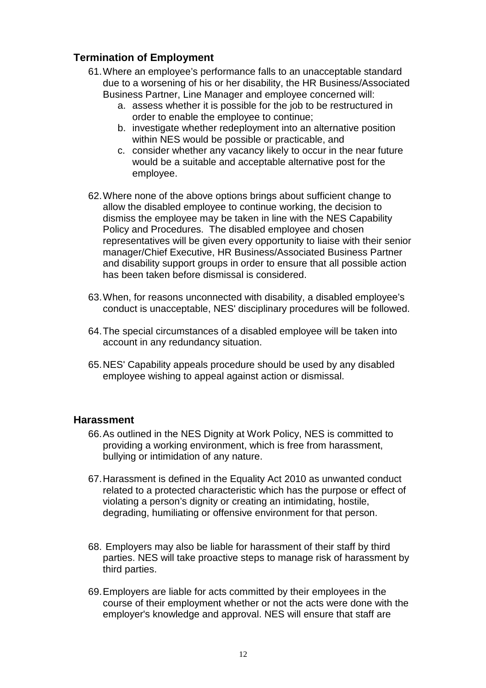# **Termination of Employment**

- 61. Where an employee's performance falls to an unacceptable standard due to a worsening of his or her disability, the HR Business/Associated Business Partner, Line Manager and employee concerned will:
	- a. assess whether it is possible for the job to be restructured in order to enable the employee to continue;
	- b. investigate whether redeployment into an alternative position within NES would be possible or practicable, and
	- c. consider whether any vacancy likely to occur in the near future would be a suitable and acceptable alternative post for the employee.
- 62. Where none of the above options brings about sufficient change to allow the disabled employee to continue working, the decision to dismiss the employee may be taken in line with the NES Capability Policy and Procedures. The disabled employee and chosen representatives will be given every opportunity to liaise with their senior manager/Chief Executive, HR Business/Associated Business Partner and disability support groups in order to ensure that all possible action has been taken before dismissal is considered.
- 63. When, for reasons unconnected with disability, a disabled employee's conduct is unacceptable, NES' disciplinary procedures will be followed.
- 64. The special circumstances of a disabled employee will be taken into account in any redundancy situation.
- 65. NES' Capability appeals procedure should be used by any disabled employee wishing to appeal against action or dismissal.

#### **Harassment**

- 66. As outlined in the NES Dignity at Work Policy, NES is committed to providing a working environment, which is free from harassment, bullying or intimidation of any nature.
- 67. Harassment is defined in the Equality Act 2010 as unwanted conduct related to a protected characteristic which has the purpose or effect of violating a person's dignity or creating an intimidating, hostile, degrading, humiliating or offensive environment for that person.
- 68. Employers may also be liable for harassment of their staff by third parties. NES will take proactive steps to manage risk of harassment by third parties.
- 69. Employers are liable for acts committed by their employees in the course of their employment whether or not the acts were done with the employer's knowledge and approval. NES will ensure that staff are